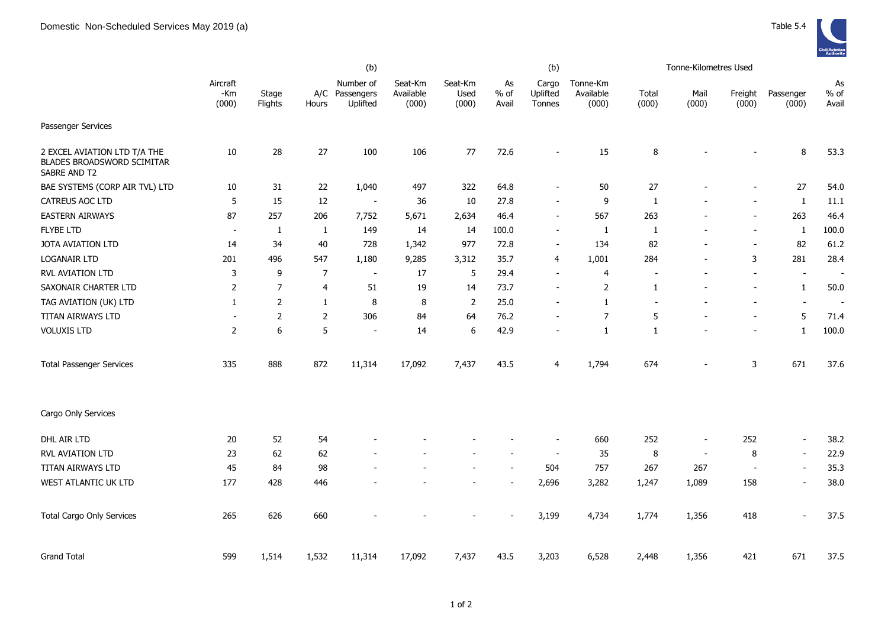|                                                                            | (b)                      |                  |                |                                         |                               |                          |                       | (b)                         |                                |                | Tonne-Kilometres Used    |                          |                          |                       |
|----------------------------------------------------------------------------|--------------------------|------------------|----------------|-----------------------------------------|-------------------------------|--------------------------|-----------------------|-----------------------------|--------------------------------|----------------|--------------------------|--------------------------|--------------------------|-----------------------|
|                                                                            | Aircraft<br>-Km<br>(000) | Stage<br>Flights | Hours          | Number of<br>A/C Passengers<br>Uplifted | Seat-Km<br>Available<br>(000) | Seat-Km<br>Used<br>(000) | As<br>$%$ of<br>Avail | Cargo<br>Uplifted<br>Tonnes | Tonne-Km<br>Available<br>(000) | Total<br>(000) | Mail<br>(000)            | Freight<br>(000)         | Passenger<br>(000)       | As<br>$%$ of<br>Avail |
| Passenger Services                                                         |                          |                  |                |                                         |                               |                          |                       |                             |                                |                |                          |                          |                          |                       |
| 2 EXCEL AVIATION LTD T/A THE<br>BLADES BROADSWORD SCIMITAR<br>SABRE AND T2 | 10                       | 28               | 27             | 100                                     | 106                           | 77                       | 72.6                  |                             | 15                             | 8              |                          |                          | 8                        | 53.3                  |
| BAE SYSTEMS (CORP AIR TVL) LTD                                             | 10                       | $31\,$           | 22             | 1,040                                   | 497                           | 322                      | 64.8                  |                             | 50                             | 27             | $\overline{\phantom{a}}$ | $\overline{\phantom{a}}$ | $27$                     | 54.0                  |
| CATREUS AOC LTD                                                            | 5                        | 15               | 12             | $\sim$                                  | 36                            | $10\,$                   | 27.8                  | $\overline{\phantom{a}}$    | 9                              | 1              |                          | $\blacksquare$           | $\mathbf{1}$             | 11.1                  |
| <b>EASTERN AIRWAYS</b>                                                     | 87                       | 257              | 206            | 7,752                                   | 5,671                         | 2,634                    | 46.4                  |                             | 567                            | 263            |                          | $\blacksquare$           | 263                      | 46.4                  |
| <b>FLYBE LTD</b>                                                           | $\sim$                   | -1               | 1              | 149                                     | 14                            | 14                       | 100.0                 | $\overline{\phantom{a}}$    | 1                              | -1             |                          | $\blacksquare$           | $\mathbf{1}$             | 100.0                 |
| JOTA AVIATION LTD                                                          | 14                       | 34               | 40             | 728                                     | 1,342                         | 977                      | 72.8                  |                             | 134                            | 82             |                          | $\blacksquare$           | 82                       | 61.2                  |
| <b>LOGANAIR LTD</b>                                                        | 201                      | 496              | 547            | 1,180                                   | 9,285                         | 3,312                    | 35.7                  | 4                           | 1,001                          | 284            | $\blacksquare$           | 3                        | 281                      | 28.4                  |
| <b>RVL AVIATION LTD</b>                                                    | 3                        | 9                | $\overline{7}$ | $\sim$                                  | 17                            | 5                        | 29.4                  | $\overline{\phantom{a}}$    | 4                              |                |                          | $\blacksquare$           | $\blacksquare$           |                       |
| SAXONAIR CHARTER LTD                                                       | 2                        | $\overline{7}$   | 4              | 51                                      | 19                            | 14                       | 73.7                  |                             | 2                              | 1              | $\overline{\phantom{a}}$ | $\overline{\phantom{a}}$ | $\mathbf{1}$             | 50.0                  |
| TAG AVIATION (UK) LTD                                                      | $\mathbf{1}$             | $\overline{2}$   | $\mathbf{1}$   | 8                                       | 8                             | 2                        | 25.0                  |                             | $\mathbf{1}$                   |                |                          | $\blacksquare$           | $\blacksquare$           | $\blacksquare$        |
| TITAN AIRWAYS LTD                                                          |                          | $\overline{2}$   | $\overline{2}$ | 306                                     | 84                            | 64                       | 76.2                  |                             | $\overline{7}$                 | 5              |                          | $\blacksquare$           | 5                        | 71.4                  |
| <b>VOLUXIS LTD</b>                                                         | 2                        | 6                | 5              | $\overline{\phantom{a}}$                | 14                            | 6                        | 42.9                  |                             | $\mathbf{1}$                   | 1              |                          |                          | $\mathbf{1}$             | 100.0                 |
| <b>Total Passenger Services</b>                                            | 335                      | 888              | 872            | 11,314                                  | 17,092                        | 7,437                    | 43.5                  | 4                           | 1,794                          | 674            |                          | 3                        | 671                      | 37.6                  |
| Cargo Only Services                                                        |                          |                  |                |                                         |                               |                          |                       |                             |                                |                |                          |                          |                          |                       |
| DHL AIR LTD                                                                | 20                       | 52               | 54             |                                         |                               |                          |                       |                             | 660                            | 252            | $\overline{\phantom{a}}$ | 252                      | $\overline{\phantom{a}}$ | 38.2                  |
| <b>RVL AVIATION LTD</b>                                                    | 23                       | 62               | 62             |                                         |                               |                          |                       | $\overline{\phantom{a}}$    | 35                             | 8              | $\overline{\phantom{a}}$ | 8                        | $\blacksquare$           | 22.9                  |
| TITAN AIRWAYS LTD                                                          | 45                       | 84               | 98             |                                         |                               |                          |                       | 504                         | 757                            | 267            | 267                      | $\overline{\phantom{a}}$ | $\blacksquare$           | 35.3                  |
| WEST ATLANTIC UK LTD                                                       | 177                      | 428              | 446            |                                         |                               |                          |                       | 2,696                       | 3,282                          | 1,247          | 1,089                    | 158                      | $\sim$                   | 38.0                  |
| <b>Total Cargo Only Services</b>                                           | 265                      | 626              | 660            |                                         |                               |                          |                       | 3,199                       | 4,734                          | 1,774          | 1,356                    | 418                      | $\sim$                   | 37.5                  |
| <b>Grand Total</b>                                                         | 599                      | 1,514            | 1,532          | 11,314                                  | 17,092                        | 7,437                    | 43.5                  | 3,203                       | 6,528                          | 2,448          | 1,356                    | 421                      | 671                      | 37.5                  |